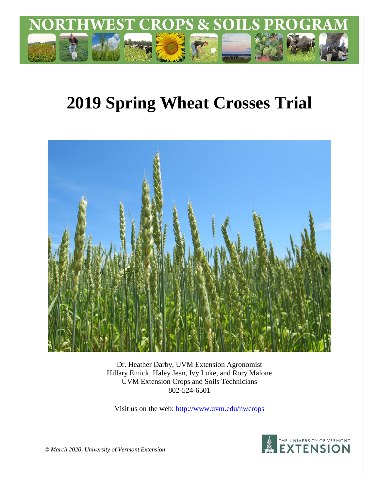

# **2019 Spring Wheat Crosses Trial**



Dr. Heather Darby, UVM Extension Agronomist Hillary Emick, Haley Jean, Ivy Luke, and Rory Malone UVM Extension Crops and Soils Technicians 802-524-6501

Visit us on the web: <http://www.uvm.edu/nwcrops>



*© March 2020, University of Vermont Extension*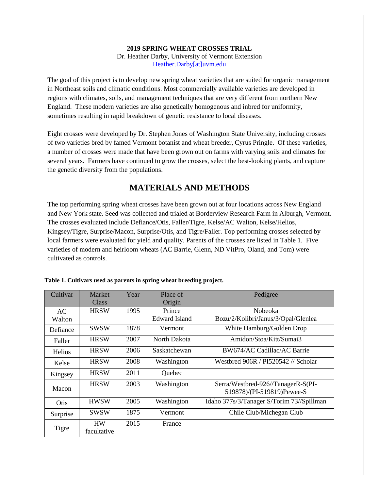#### **2019 SPRING WHEAT CROSSES TRIAL** Dr. Heather Darby, University of Vermont Extension [Heather.Darby\[at\]uvm.edu](mailto:Heather.Darby@uvm.edu)

The goal of this project is to develop new spring wheat varieties that are suited for organic management in Northeast soils and climatic conditions. Most commercially available varieties are developed in regions with climates, soils, and management techniques that are very different from northern New England. These modern varieties are also genetically homogenous and inbred for uniformity, sometimes resulting in rapid breakdown of genetic resistance to local diseases.

Eight crosses were developed by Dr. Stephen Jones of Washington State University, including crosses of two varieties bred by famed Vermont botanist and wheat breeder, Cyrus Pringle. Of these varieties, a number of crosses were made that have been grown out on farms with varying soils and climates for several years. Farmers have continued to grow the crosses, select the best-looking plants, and capture the genetic diversity from the populations.

# **MATERIALS AND METHODS**

The top performing spring wheat crosses have been grown out at four locations across New England and New York state. Seed was collected and trialed at Borderview Research Farm in Alburgh, Vermont. The crosses evaluated include Defiance/Otis, Faller/Tigre, Kelse/AC Walton, Kelse/Helios, Kingsey/Tigre, Surprise/Macon, Surprise/Otis, and Tigre/Faller. Top performing crosses selected by local farmers were evaluated for yield and quality. Parents of the crosses are listed in Table 1. Five varieties of modern and heirloom wheats (AC Barrie, Glenn, ND VitPro, Oland, and Tom) were cultivated as controls.

| Cultivar      | <b>Market</b><br>Class   | Year | Place of<br>Origin             | Pedigree                                                         |  |
|---------------|--------------------------|------|--------------------------------|------------------------------------------------------------------|--|
| AC<br>Walton  | <b>HRSW</b>              | 1995 | Prince<br><b>Edward Island</b> | Nobeoka<br>Bozu/2/Kolibri/Janus/3/Opal/Glenlea                   |  |
| Defiance      | <b>SWSW</b>              | 1878 | Vermont                        | White Hamburg/Golden Drop                                        |  |
| Faller        | <b>HRSW</b>              | 2007 | North Dakota                   | Amidon/Stoa/Kitt/Sumai3                                          |  |
| <b>Helios</b> | <b>HRSW</b>              | 2006 | Saskatchewan                   | BW674/AC Cadillac/AC Barrie                                      |  |
| Kelse         | <b>HRSW</b>              | 2008 | Washington                     | Westbred 906R / PI520542 // Scholar                              |  |
| Kingsey       | <b>HRSW</b>              | 2011 | Quebec                         |                                                                  |  |
| Macon         | <b>HRSW</b>              | 2003 | Washington                     | Serra/Westbred-926//TanagerR-S(PI-<br>519878)/(PI-519819)Pewee-S |  |
| Otis          | <b>HWSW</b>              | 2005 | Washington                     | Idaho 377s/3/Tanager S/Torim 73//Spillman                        |  |
| Surprise      | <b>SWSW</b>              | 1875 | Vermont                        | Chile Club/Michegan Club                                         |  |
| Tigre         | <b>HW</b><br>facultative | 2015 | France                         |                                                                  |  |

|  |  | Table 1. Cultivars used as parents in spring wheat breeding project. |
|--|--|----------------------------------------------------------------------|
|  |  |                                                                      |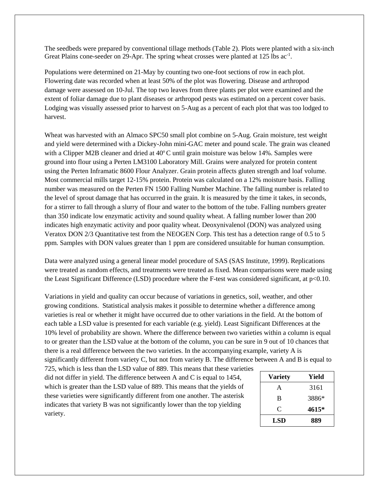The seedbeds were prepared by conventional tillage methods (Table 2). Plots were planted with a six-inch Great Plains cone-seeder on 29-Apr. The spring wheat crosses were planted at 125 lbs ac<sup>-1</sup>.

Populations were determined on 21-May by counting two one-foot sections of row in each plot. Flowering date was recorded when at least 50% of the plot was flowering. Disease and arthropod damage were assessed on 10-Jul. The top two leaves from three plants per plot were examined and the extent of foliar damage due to plant diseases or arthropod pests was estimated on a percent cover basis. Lodging was visually assessed prior to harvest on 5-Aug as a percent of each plot that was too lodged to harvest.

Wheat was harvested with an Almaco SPC50 small plot combine on 5-Aug. Grain moisture, test weight and yield were determined with a Dickey-John mini-GAC meter and pound scale. The grain was cleaned with a Clipper M2B cleaner and dried at  $40^{\circ}$ C until grain moisture was below 14%. Samples were ground into flour using a Perten LM3100 Laboratory Mill. Grains were analyzed for protein content using the Perten Inframatic 8600 Flour Analyzer. Grain protein affects gluten strength and loaf volume. Most commercial mills target 12-15% protein. Protein was calculated on a 12% moisture basis. Falling number was measured on the Perten FN 1500 Falling Number Machine. The falling number is related to the level of sprout damage that has occurred in the grain. It is measured by the time it takes, in seconds, for a stirrer to fall through a slurry of flour and water to the bottom of the tube. Falling numbers greater than 350 indicate low enzymatic activity and sound quality wheat. A falling number lower than 200 indicates high enzymatic activity and poor quality wheat. Deoxynivalenol (DON) was analyzed using Veratox DON 2/3 Quantitative test from the NEOGEN Corp. This test has a detection range of 0.5 to 5 ppm. Samples with DON values greater than 1 ppm are considered unsuitable for human consumption.

Data were analyzed using a general linear model procedure of SAS (SAS Institute, 1999). Replications were treated as random effects, and treatments were treated as fixed. Mean comparisons were made using the Least Significant Difference (LSD) procedure where the F-test was considered significant, at p<0.10.

Variations in yield and quality can occur because of variations in genetics, soil, weather, and other growing conditions. Statistical analysis makes it possible to determine whether a difference among varieties is real or whether it might have occurred due to other variations in the field. At the bottom of each table a LSD value is presented for each variable (e.g. yield). Least Significant Differences at the 10% level of probability are shown. Where the difference between two varieties within a column is equal to or greater than the LSD value at the bottom of the column, you can be sure in 9 out of 10 chances that there is a real difference between the two varieties. In the accompanying example, variety A is

significantly different from variety C, but not from variety B. The difference between A and B is equal to

725, which is less than the LSD value of 889. This means that these varieties did not differ in yield. The difference between A and C is equal to 1454, which is greater than the LSD value of 889. This means that the yields of these varieties were significantly different from one another. The asterisk indicates that variety B was not significantly lower than the top yielding variety.

| Variety    | Yield |
|------------|-------|
| A          | 3161  |
| B          | 3886* |
| C          | 4615* |
| <b>LSD</b> | 889   |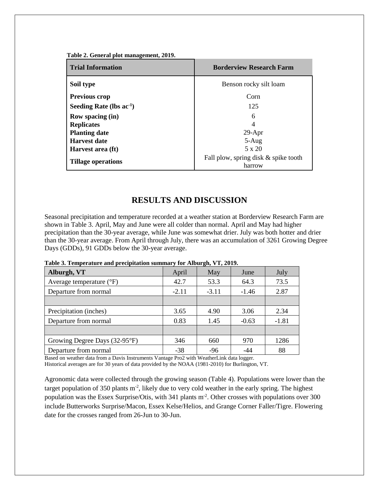|  | Table 2. General plot management, 2019. |  |
|--|-----------------------------------------|--|
|--|-----------------------------------------|--|

| <b>Trial Information</b>      | <b>Borderview Research Farm</b>                |
|-------------------------------|------------------------------------------------|
| Soil type                     | Benson rocky silt loam                         |
| <b>Previous crop</b>          | Corn                                           |
| Seeding Rate (lbs $ac^{-1}$ ) | 125                                            |
| <b>Row spacing (in)</b>       | 6                                              |
| <b>Replicates</b>             | 4                                              |
| <b>Planting date</b>          | $29-Apr$                                       |
| <b>Harvest date</b>           | $5-Aug$                                        |
| Harvest area (ft)             | $5 \times 20$                                  |
| <b>Tillage operations</b>     | Fall plow, spring disk & spike tooth<br>harrow |

## **RESULTS AND DISCUSSION**

Seasonal precipitation and temperature recorded at a weather station at Borderview Research Farm are shown in Table 3. April, May and June were all colder than normal. April and May had higher precipitation than the 30-year average, while June was somewhat drier. July was both hotter and drier than the 30-year average. From April through July, there was an accumulation of 3261 Growing Degree Days (GDDs), 91 GDDs below the 30-year average.

| Alburgh, VT                       | April   | May     | June    | July    |
|-----------------------------------|---------|---------|---------|---------|
| Average temperature $(^{\circ}F)$ | 42.7    | 53.3    | 64.3    | 73.5    |
| Departure from normal             | $-2.11$ | $-3.11$ | $-1.46$ | 2.87    |
|                                   |         |         |         |         |
| Precipitation (inches)            | 3.65    | 4.90    | 3.06    | 2.34    |
| Departure from normal             | 0.83    | 1.45    | $-0.63$ | $-1.81$ |
|                                   |         |         |         |         |
| Growing Degree Days (32-95°F)     | 346     | 660     | 970     | 1286    |
| Departure from normal             | $-38$   | $-96$   | -44     | 88      |

**Table 3. Temperature and precipitation summary for Alburgh, VT, 2019.**

Based on weather data from a Davis Instruments Vantage Pro2 with WeatherLink data logger. Historical averages are for 30 years of data provided by the NOAA (1981-2010) for Burlington, VT.

Agronomic data were collected through the growing season (Table 4). Populations were lower than the target population of 350 plants  $m<sup>2</sup>$ , likely due to very cold weather in the early spring. The highest population was the Essex Surprise/Otis, with 341 plants m<sup>-2</sup>. Other crosses with populations over 300 include Butterworks Surprise/Macon, Essex Kelse/Helios, and Grange Corner Faller/Tigre. Flowering date for the crosses ranged from 26-Jun to 30-Jun.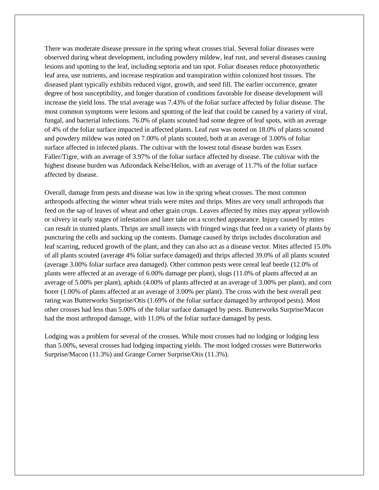There was moderate disease pressure in the spring wheat crosses trial. Several foliar diseases were observed during wheat development, including powdery mildew, leaf rust, and several diseases causing lesions and spotting to the leaf, including septoria and tan spot. Foliar diseases reduce photosynthetic leaf area, use nutrients, and increase respiration and transpiration within colonized host tissues. The diseased plant typically exhibits reduced vigor, growth, and seed fill. The earlier occurrence, greater degree of host susceptibility, and longer duration of conditions favorable for disease development will increase the yield loss. The trial average was 7.43% of the foliar surface affected by foliar disease. The most common symptoms were lesions and spotting of the leaf that could be caused by a variety of viral, fungal, and bacterial infections. 76.0% of plants scouted had some degree of leaf spots, with an average of 4% of the foliar surface impacted in affected plants. Leaf rust was noted on 18.0% of plants scouted and powdery mildew was noted on 7.00% of plants scouted, both at an average of 3.00% of foliar surface affected in infected plants. The cultivar with the lowest total disease burden was Essex Faller/Tigre, with an average of 3.97% of the foliar surface affected by disease. The cultivar with the highest disease burden was Adirondack Kelse/Helios, with an average of 11.7% of the foliar surface affected by disease.

Overall, damage from pests and disease was low in the spring wheat crosses. The most common arthropods affecting the winter wheat trials were mites and thrips. Mites are very small arthropods that feed on the sap of leaves of wheat and other grain crops. Leaves affected by mites may appear yellowish or silvery in early stages of infestation and later take on a scorched appearance. Injury caused by mites can result in stunted plants. Thrips are small insects with fringed wings that feed on a variety of plants by puncturing the cells and sucking up the contents. Damage caused by thrips includes discoloration and leaf scarring, reduced growth of the plant, and they can also act as a disease vector. Mites affected 15.0% of all plants scouted (average 4% foliar surface damaged) and thrips affected 39.0% of all plants scouted (average 3.00% foliar surface area damaged). Other common pests were cereal leaf beetle (12.0% of plants were affected at an average of 6.00% damage per plant), slugs (11.0% of plants affected at an average of 5.00% per plant), aphids (4.00% of plants affected at an average of 3.00% per plant), and corn borer (1.00% of plants affected at an average of 3.00% per plant). The cross with the best overall pest rating was Butterworks Surprise/Otis (1.69% of the foliar surface damaged by arthropod pests). Most other crosses had less than 5.00% of the foliar surface damaged by pests. Butterworks Surprise/Macon had the most arthropod damage, with 11.0% of the foliar surface damaged by pests.

Lodging was a problem for several of the crosses. While most crosses had no lodging or lodging less than 5.00%, several crosses had lodging impacting yields. The most lodged crosses were Butterworks Surprise/Macon (11.3%) and Grange Corner Surprise/Otis (11.3%).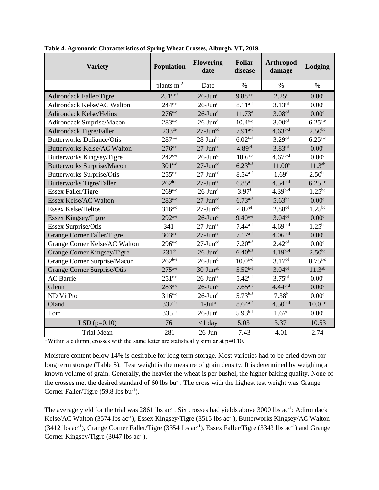| <b>Variety</b>                     | <b>Population</b>    | <b>Flowering</b><br>date | Foliar<br>disease  | <b>Arthropod</b><br>damage | Lodging            |
|------------------------------------|----------------------|--------------------------|--------------------|----------------------------|--------------------|
|                                    | plants $m-2$         | Date                     | %                  | %                          | %                  |
| <b>Adirondack Faller/Tigre</b>     | $251^{\text{c-}et}$  | $26$ -Jun <sup>d</sup>   | $9.88^{a-e}$       | 2.25 <sup>d</sup>          | 0.00 <sup>c</sup>  |
| Adirondack Kelse/AC Walton         | $244c-e$             | $26$ -Jun <sup>d</sup>   | $8.11^{a-f}$       | 3.13cd                     | 0.00 <sup>c</sup>  |
| <b>Adirondack Kelse/Helios</b>     | $276^{a-e}$          | $26$ -Jun <sup>d</sup>   | $11.73^a$          | 3.08 <sup>cd</sup>         | 0.00 <sup>c</sup>  |
| Adirondack Surprise/Macon          | $283^{a-e}$          | $26$ -Jun <sup>d</sup>   | $10.4^{a-c}$       | 3.00 <sup>cd</sup>         | $6.25^{a-c}$       |
| Adirondack Tigre/Faller            | 233 <sup>de</sup>    | $27$ -Jun <sup>cd</sup>  | $7.91^{a-f}$       | $4.63b-d$                  | $2.50^{bc}$        |
| <b>Butterworks Defiance/Otis</b>   | $287$ <sup>a-e</sup> | $28$ -Jun <sup>bc</sup>  | $6.02b-f$          | 3.29 <sup>cd</sup>         | $6.25^{a-c}$       |
| <b>Butterworks Kelse/AC Walton</b> | $276^{a-e}$          | $27$ -Jun <sup>cd</sup>  | 4.89 <sup>ef</sup> | 3.83cd                     | 0.00 <sup>c</sup>  |
| Butterworks Kingsey/Tigre          | $242c-e$             | $26$ -Jun <sup>d</sup>   | 10.6 <sup>ab</sup> | $4.67b-d$                  | 0.00 <sup>c</sup>  |
| <b>Butterworks Surprise/Macon</b>  | $301^{a-d}$          | $27$ -Jun <sup>cd</sup>  | $6.23^{b-f}$       | $11.00^a$                  | 11.3 <sup>ab</sup> |
| <b>Butterworks Surprise/Otis</b>   | $255^{c-e}$          | $27$ -Jun <sup>cd</sup>  | $8.54^{a-f}$       | 1.69 <sup>d</sup>          | $2.50^{bc}$        |
| <b>Butterworks Tigre/Faller</b>    | $262^{b-e}$          | $27$ -Jun <sup>cd</sup>  | $6.85^{a-f}$       | $4.54^{b-d}$               | $6.25^{a-c}$       |
| Essex Faller/Tigre                 | $269$ <sub>a-e</sub> | $26$ -Jun <sup>d</sup>   | 3.97 <sup>f</sup>  | $4.39b-d$                  | $1.25^{bc}$        |
| Essex Kelse/AC Walton              | $283^{a-e}$          | $27$ -Jun <sup>cd</sup>  | $6.73^{a-f}$       | $5.63^{bc}$                | 0.00 <sup>c</sup>  |
| <b>Essex Kelse/Helios</b>          | $316^{a-c}$          | $27$ -Jun <sup>cd</sup>  | 4.87 <sup>ef</sup> | 2.88 <sup>cd</sup>         | $1.25^{bc}$        |
| Essex Kingsey/Tigre                | $292^{a-e}$          | $26$ -Jun <sup>d</sup>   | $9.40^{a-e}$       | 3.04 <sup>cd</sup>         | 0.00 <sup>c</sup>  |
| Essex Surprise/Otis                | 341 <sup>a</sup>     | $27$ -Jun <sup>cd</sup>  | $7.44^{a-f}$       | $4.69b-d$                  | $1.25^{bc}$        |
| Grange Corner Faller/Tigre         | $303a-d$             | $27$ -Jun <sup>cd</sup>  | $7.17^{a-f}$       | $4.06^{b-d}$               | 0.00 <sup>c</sup>  |
| Grange Corner Kelse/AC Walton      | $296^{a-e}$          | $27$ -Jun <sup>cd</sup>  | $7.20^{a-f}$       | 2.42 <sup>cd</sup>         | 0.00 <sup>c</sup>  |
| Grange Corner Kingsey/Tigre        | 231 <sup>de</sup>    | $26$ -Jun <sup>d</sup>   | $6.40^{b-f}$       | $4.19^{b-d}$               | $2.50^{bc}$        |
| Grange Corner Surprise/Macon       | $262^{b-e}$          | $26$ -Jun <sup>d</sup>   | $10.0^{a-d}$       | 3.17 <sup>cd</sup>         | $8.75^{a.c}$       |
| Grange Corner Surprise/Otis        | $275^{a-e}$          | 30-Jun <sup>ab</sup>     | $5.52^{b-f}$       | 3.04 <sup>cd</sup>         | 11.3 <sup>ab</sup> |
| <b>AC</b> Barrie                   | $251^{c-e}$          | $26$ -Jun <sup>cd</sup>  | $5.42^{c-f}$       | 3.75 <sup>cd</sup>         | 0.00 <sup>c</sup>  |
| Glenn                              | $283^{a-e}$          | $26$ -Jun <sup>d</sup>   | $7.65^{a-f}$       | $4.44^{b-d}$               | 0.00 <sup>c</sup>  |
| ND VitPro                          | $316^{a-c}$          | $26$ -Jun <sup>d</sup>   | $5.73^{b-f}$       | 7.38 <sup>b</sup>          | 0.00 <sup>c</sup>  |
| Oland                              | 337 <sup>ab</sup>    | $1-Jula$                 | $8.64^{a-f}$       | $4.50^{b-d}$               | $10.0^{a-c}$       |
| Tom                                | $335^{ab}$           | $26$ -Jun <sup>d</sup>   | $5.93^{b-f}$       | 1.67 <sup>d</sup>          | 0.00 <sup>c</sup>  |
| LSD $(p=0.10)$                     | 76                   | $<$ l day                | 5.03               | 3.37                       | 10.53              |
| <b>Trial Mean</b>                  | 281                  | $26$ -Jun                | 7.43               | 4.01                       | 2.74               |

**Table 4. Agronomic Characteristics of Spring Wheat Crosses, Alburgh, VT, 2019.**

 $\dagger$ Within a column, crosses with the same letter are statistically similar at  $p=0.10$ .

Moisture content below 14% is desirable for long term storage. Most varieties had to be dried down for long term storage (Table 5). Test weight is the measure of grain density. It is determined by weighing a known volume of grain. Generally, the heavier the wheat is per bushel, the higher baking quality. None of the crosses met the desired standard of 60 lbs bu<sup>-1</sup>. The cross with the highest test weight was Grange Corner Faller/Tigre  $(59.8 \text{ lbs} \text{ bu}^{-1})$ .

The average yield for the trial was 2861 lbs ac<sup>-1</sup>. Six crosses had yields above 3000 lbs ac<sup>-1</sup>: Adirondack Kelse/AC Walton (3574 lbs ac<sup>-1</sup>), Essex Kingsey/Tigre (3515 lbs ac<sup>-1</sup>), Butterworks Kingsey/AC Walton (3412 lbs ac<sup>-1</sup>), Grange Corner Faller/Tigre (3354 lbs ac<sup>-1</sup>), Essex Faller/Tigre (3343 lbs ac<sup>-1</sup>) and Grange Corner Kingsey/Tigre  $(3047 \text{ lbs } ac^{-1})$ .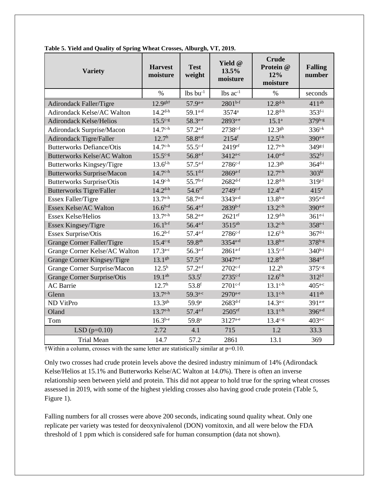| <b>Variety</b>                     | <b>Harvest</b><br>moisture | <b>Test</b><br>weight  | Yield @<br>13.5%<br>moisture | <b>Crude</b><br>Protein @<br>12%<br>moisture | <b>Falling</b><br>number |
|------------------------------------|----------------------------|------------------------|------------------------------|----------------------------------------------|--------------------------|
|                                    | $\%$                       | $lbs$ bu <sup>-1</sup> | $lbs$ ac <sup>-1</sup>       | $\%$                                         | seconds                  |
| <b>Adirondack Faller/Tigre</b>     | $12.9$ <sup>gh†</sup>      | $57.9^{a-e}$           | $2801^{b-f}$                 | $12.8^{d-h}$                                 | $411^{ab}$               |
| Adirondack Kelse/AC Walton         | $14.2^{d-h}$               | $59.1^{a-d}$           | 3574 <sup>a</sup>            | $12.8^{d-h}$                                 | $353^{f-i}$              |
| <b>Adirondack Kelse/Helios</b>     | $15.5^{c-g}$               | 58.3 <sup>a-e</sup>    | 2893 <sup>a-e</sup>          | $15.1^{\circ}$                               | 379b-g                   |
| Adirondack Surprise/Macon          | $14.7^{\text{c-h}}$        | $57.2^{a-f}$           | $2738^{c-f}$                 | $12.3^{gh}$                                  | $336^{i-k}$              |
| Adirondack Tigre/Faller            | 12.7 <sup>h</sup>          | $58.8^{a-d}$           | $2154$ <sup>f</sup>          | $12.5$ <sup>f-h</sup>                        | 390 <sup>a-e</sup>       |
| <b>Butterworks Defiance/Otis</b>   | $14.7^{\text{c-h}}$        | $55.5^{c-f}$           | 2419 <sup>ef</sup>           | $12.7^{\text{e-h}}$                          | $349g-j$                 |
| <b>Butterworks Kelse/AC Walton</b> | $15.5^{c-g}$               | $56.8^{a-f}$           | 3412 <sup>a-c</sup>          | $14.0^{a-d}$                                 | $352^{f-j}$              |
| Butterworks Kingsey/Tigre          | $13.6^{f-h}$               | $57.5^{a-f}$           | $2786^{c-f}$                 | $12.3^{gh}$                                  | $364^{d-i}$              |
| <b>Butterworks Surprise/Macon</b>  | $14.7^{\text{c-h}}$        | $55.1^{d-f}$           | $2869^{a-f}$                 | $12.7^{\text{e-h}}$                          | 303 <sup>kl</sup>        |
| <b>Butterworks Surprise/Otis</b>   | $14.9^{\text{c-h}}$        | $55.7^{b-f}$           | $2682^{d-f}$                 | $12.8^{d-h}$                                 | $319^{j-1}$              |
| <b>Butterworks Tigre/Faller</b>    | $14.2^{d-h}$               | 54.6 <sup>ef</sup>     | 2749c-f                      | $12.4^{f-h}$                                 | 415 <sup>a</sup>         |
| Essex Faller/Tigre                 | $13.7^{\text{e-h}}$        | $58.7^{a-d}$           | $3343^{a-d}$                 | $13.8^{b-e}$                                 | $395$ <sup>a-d</sup>     |
| Essex Kelse/AC Walton              | $16.6^{b-d}$               | $56.4^{a-f}$           | $2839^{b-f}$                 | $13.2^{\text{c-h}}$                          | $390^{a-e}$              |
| <b>Essex Kelse/Helios</b>          | $13.7^{\text{e-h}}$        | $58.2^{a-e}$           | $2621$ ef                    | $12.9^{d-h}$                                 | $361^{e-i}$              |
| Essex Kingsey/Tigre                | $16.1^{b-f}$               | $56.4^{a-f}$           | 3515ab                       | $13.2^{\text{c-h}}$                          | $358^{e-i}$              |
| Essex Surprise/Otis                | $16.2^{b-f}$               | $57.4^{a-f}$           | $2786^{c-f}$                 | $12.6^{f-h}$                                 | $367^{d-i}$              |
| Grange Corner Faller/Tigre         | $15.4c-g$                  | 59.8 <sup>ab</sup>     | 3354 <sup>a-d</sup>          | $13.8^{b-e}$                                 | $378^{b-g}$              |
| Grange Corner Kelse/AC Walton      | $17.3^{a-c}$               | $56.3^{a-f}$           | $2861^{a-f}$                 | $13.5^{c-f}$                                 | $340^{h-j}$              |
| Grange Corner Kingsey/Tigre        | $13.1^{gh}$                | $57.5^{a-f}$           | 3047 <sup>a-e</sup>          | $12.8^{d-h}$                                 | $384^{a-f}$              |
| Grange Corner Surprise/Macon       | $12.5^h$                   | $57.2^{a-f}$           | $2702^{c-f}$                 | 12.2 <sup>h</sup>                            | $375c-g$                 |
| Grange Corner Surprise/Otis        | $19.1^{ab}$                | $53.5$ <sup>f</sup>    | $2735c-f$                    | $12.6^{f-h}$                                 | $312^{j-1}$              |
| <b>AC</b> Barrie                   | $12.7^{\rm h}$             | 53.8 <sup>f</sup>      | $2701^{c-f}$                 | $13.1^{\text{c-h}}$                          | $405^{\text{a-c}}$       |
| Glenn                              | $13.7^{\text{e-h}}$        | 59.3 <sup>a-c</sup>    | 2970 <sup>a-e</sup>          | $13.1^{\text{c-h}}$                          | $411^{ab}$               |
| ND VitPro                          | $13.3^{gh}$                | 59.9 <sup>a</sup>      | $2683^{d-f}$                 | $14.3^{a-c}$                                 | $391^{a-e}$              |
| Oland                              | $13.7^{\text{e-h}}$        | $57.4^{a-f}$           | $2505$ <sup>ef</sup>         | $13.1^{\text{c-h}}$                          | $396^{a-d}$              |
| Tom                                | $16.3^{b-e}$               | 59.8 <sup>a</sup>      | $3127^{a-e}$                 | $13.4^{c-g}$                                 | $403^{a-c}$              |
| LSD $(p=0.10)$                     | 2.72                       | 4.1                    | 715                          | 1.2                                          | 33.3                     |
| <b>Trial Mean</b>                  | 14.7                       | 57.2                   | 2861                         | 13.1                                         | 369                      |

**Table 5. Yield and Quality of Spring Wheat Crosses, Alburgh, VT, 2019.**

†Within a column, crosses with the same letter are statistically similar at p=0.10.

Only two crosses had crude protein levels above the desired industry minimum of 14% (Adirondack Kelse/Helios at 15.1% and Butterworks Kelse/AC Walton at 14.0%). There is often an inverse relationship seen between yield and protein. This did not appear to hold true for the spring wheat crosses assessed in 2019, with some of the highest yielding crosses also having good crude protein (Table 5, Figure 1).

Falling numbers for all crosses were above 200 seconds, indicating sound quality wheat. Only one replicate per variety was tested for deoxynivalenol (DON) vomitoxin, and all were below the FDA threshold of 1 ppm which is considered safe for human consumption (data not shown).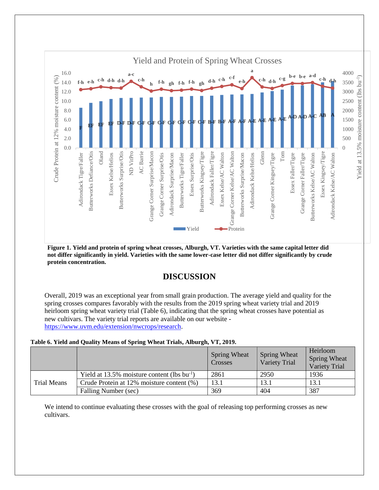

**Figure 1. Yield and protein of spring wheat crosses, Alburgh, VT. Varieties with the same capital letter did not differ significantly in yield. Varieties with the same lower-case letter did not differ significantly by crude protein concentration.**

# **DISCUSSION**

Overall, 2019 was an exceptional year from small grain production. The average yield and quality for the spring crosses compares favorably with the results from the 2019 spring wheat variety trial and 2019 heirloom spring wheat variety trial (Table 6), indicating that the spring wheat crosses have potential as new cultivars. The variety trial reports are available on our website [https://www.uvm.edu/extension/nwcrops/research.](https://www.uvm.edu/extension/nwcrops/research)

#### **Table 6. Yield and Quality Means of Spring Wheat Trials, Alburgh, VT, 2019.**

|                    |                                                  | <b>Spring Wheat</b><br>Crosses | <b>Spring Wheat</b><br>Variety Trial | Heirloom<br>Spring Wheat<br><b>Variety Trial</b> |
|--------------------|--------------------------------------------------|--------------------------------|--------------------------------------|--------------------------------------------------|
|                    | Yield at 13.5% moisture content (lbs $bu^{-1}$ ) | 2861                           | 2950                                 | 1936                                             |
| <b>Trial Means</b> | Crude Protein at 12% moisture content (%)        | 13.1                           | 13.1                                 | 13.1                                             |
|                    | Falling Number (sec)                             | 369                            | 404                                  | 387                                              |

We intend to continue evaluating these crosses with the goal of releasing top performing crosses as new cultivars.